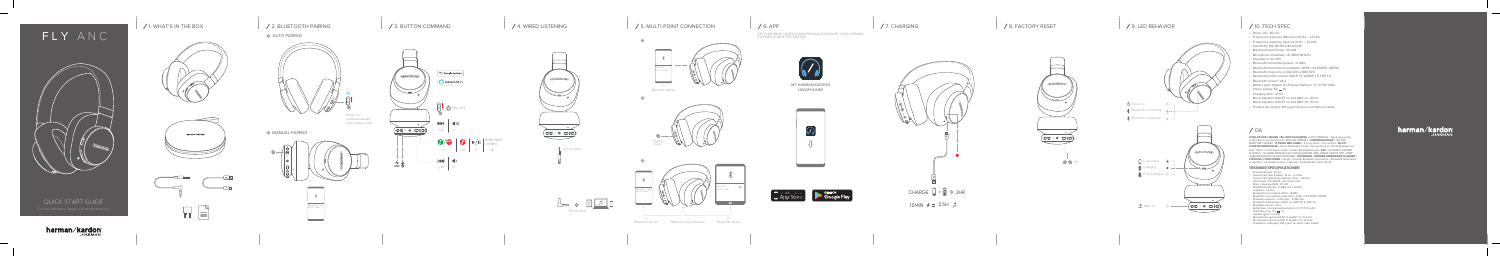





ਸ ਜ

GET EVEN MORE CONTROL AND PERSONALIZATION OF YOUR LISTENING EXPERIENCE WITH THIS FREE APP.





QUICK START GUIDE

FLY ANC

 $\sim$ 

**harman/kardon** 

## (3. BUTTON COMMAND And the set of the set of the set of the set of the set of the set of the set of the set of the set of the set of the set of the set of the set of the set of the set of the set of the set of the set of t

## 1. WHAT'S IN THE BOX 2. BLUETOOTH PAIRING

## **AUTO PAIRING**



and automatically enter paring mode

## **MANUAL PAIRING**



- Driver size: 40 mm
- Frequency response (Wireless): 16 Hz 22 kHz
- Frequency response (Aux-in): 16 Hz 22 kHz
- Sensitivity: 100 dB SPL@1kHz/1mW
- Maximum Input Power: 30 mW
- Microphone sensitivity: -21 dBV@1kHz/Pa
- Impedance: 32 ohm
- Bluetooth transmitted power: <8 dBm
- Bluetooth transmitted modulation: GFSK, π/4 DQPSK, 8DPSK
- Bluetooth frequency: 2.402 GHz-2.480 GHz
- Bluetooth profile version: A2DP 1.3, AVRCP 1.5, HFP 1.6
- Bluetooth version: V4.2
- Battery type: Lithium Ion Polymer Battery ( 3.7 V/700 mAh)
- Power supply:  $5V = 1A$
- Charging time: <2 hrs
- Music playtime with BT on and ANC on: 20 hrs
- Music playtime with BT on and ANC off: 30 hrs
- Product net weight: 281 g (just for bare unit without cable)









 $\vert$  2.5 mm AUX





# / 7. CHARGING 2. A SERIES AND RESET A SERIES AND RESET A SERIES AND RESERVED BEHAVIOR A SERIES AND RESERVED ON A SERIES AND RESERVED ON A SERIES AND RESERVED ON A SERIES AND RESERVED ON A SERIES AND RESERVED ON A SERIES AN









MY HARMAN/KARDON HEADPHONES





**HVAD ER DER I ÆSKEN / BLUTOOTH-PARRING /** AUTO-PARRING / Tænd, og overgå automatisk til parringstilstand / MANUEL PARRING / **KOMMANDOKNAP /** ON/OFF / BIXBY/SIRI®/ANDRE / **LYTNING MED KABEL /** 2,5 mm AUX / 3,5 mm AUX / **MULTI -** PUNKTSFORBINDELSE / Første Bluetooth-enhed / Parringstilstand / Første Bluetooth-enhed / \*Maks. 2 vilkårlige enheder / Anden Bluetooth-enhed / **APP /** FÅ ENDNU STØRRE KONTROL, OG MERE PERSONLIGE LYDOPLEVELSER, MED DENNE GRATIS APP. / MINE HARMAN/KARDON-HOVEDTELEFONER / **OPLADNING / GENDAN FABRIKSINDSTILLINGER / LYSDIODE, FUNKTIONER /** Tændt / Opretter Bluetooth-forbindelse / Bluetooth-forbindelse er oprettet / Lavt batteriniveau / Lader op / Fuldt opladet / ANC tændt

## **TEKNISKE SPECIFIKATIONER**

- Enhedsstørrelse: 40 mm
- Frekvensområde (trådløs): 16 Hz 22 kHz
- Frekvensområde (AUX-indgang): 16 Hz 22 kHz • Følsomhed: 100 dB SPL ved 1 kHz/1 mW
- Maks. indgangseffekt: 30 mW
- Mikrofonfølsomhed: -21 dBV ved 1 kHz/Pa
- Impedans: 32 ohm
- Bluetooth-transmitteret effekt: <8 dBm
- Bluetooth-transmitteret modulation: GFSK, π/4 DQPSK, 8DPSK
- Bluetooth-frekvens: 2,402 GHz 2,480 GHz
- Bluetooth-profilversion: A2DP 1.3, AVRCP 1.5, HFP 1.6
- Bluetooth-version: V4.2
- Batteritype: Litiumionpolymerbatteri ( 3,7 V/700 mAh)
- $\cdot$  Strømforsyning: 5 V  $\div$  1 A
- Opladningstid: <2 timer
- 
- Musikafspilningstid med BT til og ANC til: 20 timer Musikafspilningstid med BT til og ANC fra: 30 timer Produktets nettovægt: 281 g (kun for delen uden kabler)
- 

# harman/kardon